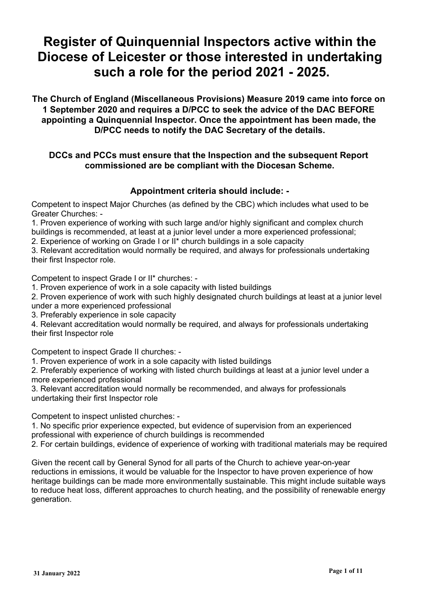# **Register of Quinquennial Inspectors active within the Diocese of Leicester or those interested in undertaking such a role for the period 2021 - 2025.**

**The Church of England (Miscellaneous Provisions) Measure 2019 came into force on 1 September 2020 and requires a D/PCC to seek the advice of the DAC BEFORE appointing a Quinquennial Inspector. Once the appointment has been made, the D/PCC needs to notify the DAC Secretary of the details.**

### **DCCs and PCCs must ensure that the Inspection and the subsequent Report commissioned are be compliant with the Diocesan Scheme.**

## **Appointment criteria should include: -**

Competent to inspect Major Churches (as defined by the CBC) which includes what used to be Greater Churches: -

1. Proven experience of working with such large and/or highly significant and complex church buildings is recommended, at least at a junior level under a more experienced professional;

2. Experience of working on Grade I or II\* church buildings in a sole capacity

3. Relevant accreditation would normally be required, and always for professionals undertaking their first Inspector role.

Competent to inspect Grade I or II\* churches: -

1. Proven experience of work in a sole capacity with listed buildings

2. Proven experience of work with such highly designated church buildings at least at a junior level under a more experienced professional

3. Preferably experience in sole capacity

4. Relevant accreditation would normally be required, and always for professionals undertaking their first Inspector role

Competent to inspect Grade II churches: -

1. Proven experience of work in a sole capacity with listed buildings

2. Preferably experience of working with listed church buildings at least at a junior level under a more experienced professional

3. Relevant accreditation would normally be recommended, and always for professionals undertaking their first Inspector role

Competent to inspect unlisted churches: -

1. No specific prior experience expected, but evidence of supervision from an experienced professional with experience of church buildings is recommended

2. For certain buildings, evidence of experience of working with traditional materials may be required

Given the recent call by General Synod for all parts of the Church to achieve year-on-year reductions in emissions, it would be valuable for the Inspector to have proven experience of how heritage buildings can be made more environmentally sustainable. This might include suitable ways to reduce heat loss, different approaches to church heating, and the possibility of renewable energy generation.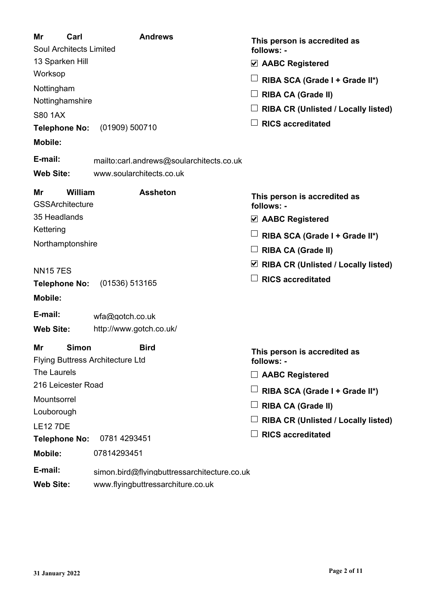| Mr<br>Carl<br><b>Soul Architects Limited</b><br>13 Sparken Hill<br>Worksop<br>Nottingham<br>Nottinghamshire<br><b>S80 1AX</b><br><b>Telephone No:</b><br><b>Mobile:</b><br>E-mail: | <b>Andrews</b><br>(01909) 500710<br>mailto:carl.andrews@soularchitects.co.uk     | This person is accredited as<br>follows: -<br>$\triangledown$ AABC Registered<br>RIBA SCA (Grade I + Grade II*)<br><b>RIBA CA (Grade II)</b><br><b>RIBA CR (Unlisted / Locally listed)</b><br><b>RICS accreditated</b> |
|------------------------------------------------------------------------------------------------------------------------------------------------------------------------------------|----------------------------------------------------------------------------------|------------------------------------------------------------------------------------------------------------------------------------------------------------------------------------------------------------------------|
| <b>Web Site:</b>                                                                                                                                                                   | www.soularchitects.co.uk                                                         |                                                                                                                                                                                                                        |
| William<br>Mr<br><b>GSSArchitecture</b><br>35 Headlands                                                                                                                            | <b>Assheton</b>                                                                  | This person is accredited as<br>follows: -<br>$\vee$ AABC Registered                                                                                                                                                   |
| Kettering<br>Northamptonshire                                                                                                                                                      |                                                                                  | RIBA SCA (Grade I + Grade II*)<br><b>RIBA CA (Grade II)</b>                                                                                                                                                            |
| <b>NN157ES</b><br><b>Telephone No:</b><br><b>Mobile:</b>                                                                                                                           | (01536) 513165                                                                   | ⊻<br><b>RIBA CR (Unlisted / Locally listed)</b><br><b>RICS accreditated</b>                                                                                                                                            |
| E-mail:<br><b>Web Site:</b>                                                                                                                                                        | $wfa@qote$ h.co.uk<br>http://www.gotch.co.uk/                                    |                                                                                                                                                                                                                        |
| <b>Simon</b><br>Mr<br><b>Flying Buttress Architecture Ltd</b><br>The Laurels<br>216 Leicester Road                                                                                 | <b>Bird</b>                                                                      | This person is accredited as<br>follows: -<br><b>AABC Registered</b>                                                                                                                                                   |
| Mountsorrel<br>Louborough                                                                                                                                                          |                                                                                  | RIBA SCA (Grade I + Grade II*)<br><b>RIBA CA (Grade II)</b><br><b>RIBA CR (Unlisted / Locally listed)</b>                                                                                                              |
| <b>LE127DE</b><br><b>Telephone No:</b><br><b>Mobile:</b>                                                                                                                           | 0781 4293451<br>07814293451                                                      | <b>RICS accreditated</b>                                                                                                                                                                                               |
| E-mail:<br><b>Web Site:</b>                                                                                                                                                        | simon.bird@flyingbuttressarchitecture.co.uk<br>www.flyingbuttressarchiture.co.uk |                                                                                                                                                                                                                        |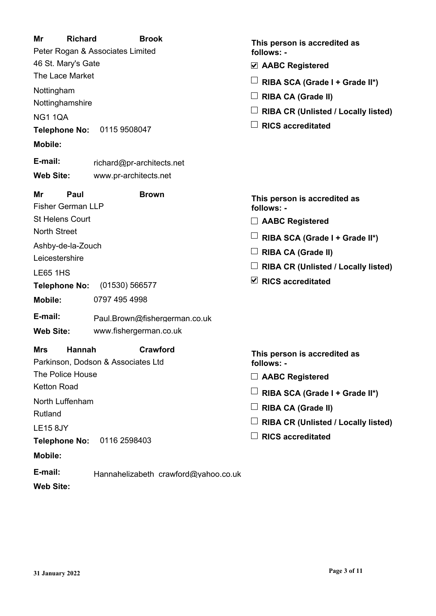| Mr<br><b>Richard</b><br>46 St. Mary's Gate<br>The Lace Market<br>Nottingham<br>Nottinghamshire<br><b>NG1 1QA</b><br>Telephone No: 0115 9508047<br><b>Mobile:</b><br>E-mail:                                                             | <b>Brook</b><br>Peter Rogan & Associates Limited<br>richard@pr-architects.net                                                       | This person is accredited as<br>follows: -<br>☑ AABC Registered<br>RIBA SCA (Grade I + Grade II*)<br><b>RIBA CA (Grade II)</b><br><b>RIBA CR (Unlisted / Locally listed)</b><br><b>RICS accreditated</b>      |
|-----------------------------------------------------------------------------------------------------------------------------------------------------------------------------------------------------------------------------------------|-------------------------------------------------------------------------------------------------------------------------------------|---------------------------------------------------------------------------------------------------------------------------------------------------------------------------------------------------------------|
| <b>Web Site:</b><br>Mr<br>Paul<br><b>Fisher German LLP</b><br><b>St Helens Court</b><br><b>North Street</b><br>Ashby-de-la-Zouch<br>Leicestershire<br><b>LE65 1HS</b><br><b>Telephone No:</b><br>Mobile:<br>E-mail:<br><b>Web Site:</b> | www.pr-architects.net<br><b>Brown</b><br>(01530) 566577<br>0797 495 4998<br>Paul.Brown@fishergerman.co.uk<br>www.fishergerman.co.uk | This person is accredited as<br>follows: -<br><b>AABC Registered</b><br>RIBA SCA (Grade I + Grade II*)<br><b>RIBA CA (Grade II)</b><br><b>RIBA CR (Unlisted / Locally listed)</b><br>$\vee$ RICS accreditated |
| <b>Mrs</b><br><b>Hannah</b><br>The Police House<br><b>Ketton Road</b><br>North Luffenham<br>Rutland<br><b>LE15 8JY</b><br>Telephone No:<br><b>Mobile:</b><br>E-mail:                                                                    | Crawford<br>Parkinson, Dodson & Associates Ltd<br>0116 2598403<br>Hannahelizabeth crawford@yahoo.co.uk                              | This person is accredited as<br>follows: -<br><b>AABC Registered</b><br>RIBA SCA (Grade I + Grade II*)<br><b>RIBA CA (Grade II)</b><br><b>RIBA CR (Unlisted / Locally listed)</b><br><b>RICS accreditated</b> |

**Web Site:**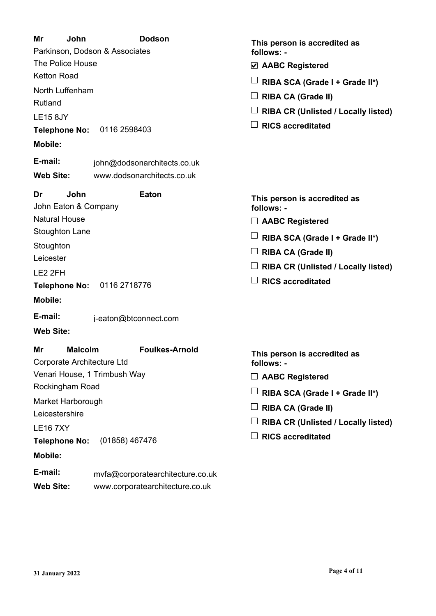| Mr<br>John                                                | <b>Dodson</b>                    | This person is accredited as               |
|-----------------------------------------------------------|----------------------------------|--------------------------------------------|
| Parkinson, Dodson & Associates<br><b>The Police House</b> |                                  | follows: -                                 |
|                                                           |                                  | $\vee$ AABC Registered                     |
| <b>Ketton Road</b>                                        |                                  | RIBA SCA (Grade I + Grade II*)             |
| North Luffenham<br>Rutland                                |                                  | <b>RIBA CA (Grade II)</b>                  |
|                                                           |                                  | <b>RIBA CR (Unlisted / Locally listed)</b> |
| <b>LE15 8JY</b>                                           | Telephone No: 0116 2598403       | <b>RICS accreditated</b>                   |
| <b>Mobile:</b>                                            |                                  |                                            |
| E-mail:                                                   |                                  |                                            |
|                                                           | john@dodsonarchitects.co.uk      |                                            |
| <b>Web Site:</b>                                          | www.dodsonarchitects.co.uk       |                                            |
| Dr<br>John<br>John Eaton & Company                        | <b>Eaton</b>                     | This person is accredited as<br>follows: - |
| <b>Natural House</b>                                      |                                  | $\Box$ AABC Registered                     |
| <b>Stoughton Lane</b>                                     |                                  | RIBA SCA (Grade I + Grade II*)             |
| Stoughton                                                 |                                  | <b>RIBA CA (Grade II)</b>                  |
| Leicester                                                 |                                  | <b>RIBA CR (Unlisted / Locally listed)</b> |
| LE2 2FH                                                   |                                  | <b>RICS accreditated</b>                   |
| <b>Mobile:</b>                                            | Telephone No: 0116 2718776       |                                            |
|                                                           |                                  |                                            |
| E-mail:                                                   | j-eaton@btconnect.com            |                                            |
| <b>Web Site:</b>                                          |                                  |                                            |
| <b>Malcolm</b><br>Mr<br>Corporate Architecture Ltd        | <b>Foulkes-Arnold</b>            | This person is accredited as<br>follows: - |
|                                                           | Venari House, 1 Trimbush Way     | $\Box$ AABC Registered                     |
| Rockingham Road                                           |                                  | RIBA SCA (Grade I + Grade II*)             |
| Market Harborough                                         |                                  | <b>RIBA CA (Grade II)</b>                  |
| Leicestershire                                            |                                  | <b>RIBA CR (Unlisted / Locally listed)</b> |
| <b>LE167XY</b>                                            |                                  | <b>RICS accreditated</b>                   |
| <b>Telephone No:</b>                                      | (01858) 467476                   |                                            |
| <b>Mobile:</b>                                            |                                  |                                            |
| E-mail:                                                   | mvfa@corporatearchitecture.co.uk |                                            |

**Web Site:** www.corporatearchitecture.co.uk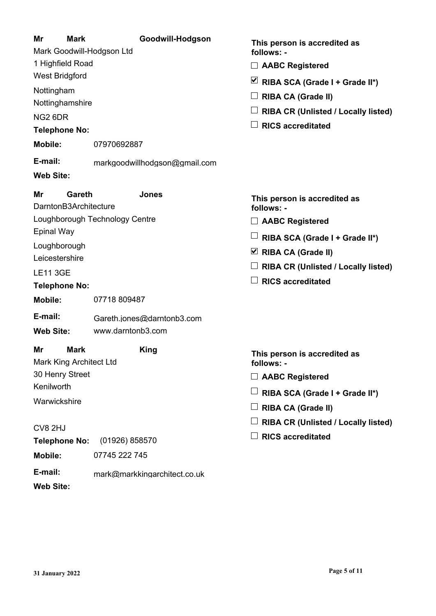#### **Mr Mark Goodwill-Hodgson** Mark Goodwill-Hodgson Ltd 1 Highfield Road West Bridgford Nottingham Nottinghamshire NG2 6DR **This person is accredited as follows: - Telephone No: E-mail:** markgoodwillhodgson@gmail.com **Mobile:** 07970692887 **Web Site: AABC Registered RIBA SCA (Grade I + Grade II\*) RIBA CA (Grade II) RIBA CR (Unlisted / Locally listed) RICS accreditated Mr Gareth Jones** DarntonB3Architecture Loughborough Technology Centre Epinal Way **Loughborough** Leicestershire LE11 3GE **This person is accredited as follows: - Telephone No: E-mail:** Gareth.jones@darntonb3.com **Mobile:** 07718 809487 **Web Site:** www.darntonb3.com **AABC Registered RIBA SCA (Grade I + Grade II\*) RIBA CA (Grade II) RIBA CR (Unlisted / Locally listed) RICS accreditated Mr Mark King** Mark King Architect Ltd 30 Henry Street Kenilworth **Warwickshire** CV8 2HJ **This person is accredited as follows: - Telephone No:** (01926) 858570 **AABC Registered RIBA SCA (Grade I + Grade II\*) RIBA CA (Grade II) RIBA CR (Unlisted / Locally listed) RICS accreditated**

**Web Site:**

**E-mail:** mark@markkingarchitect.co.uk

**Mobile:** 07745 222 745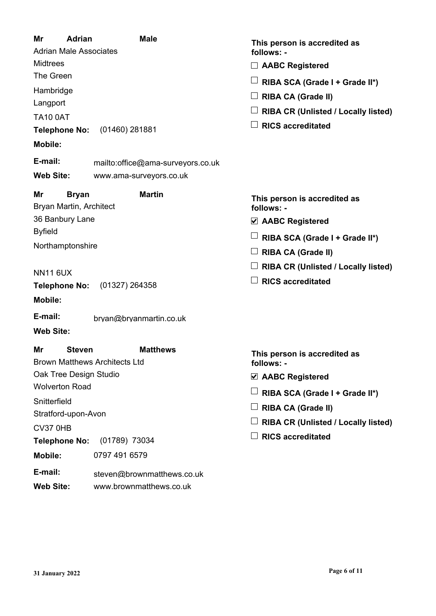| Mr<br><b>Adrian</b><br><b>Adrian Male Associates</b><br><b>Midtrees</b><br>The Green<br>Hambridge<br>Langport<br><b>TA10 0AT</b><br><b>Telephone No:</b><br><b>Mobile:</b><br>E-mail: | <b>Male</b><br>$(01460)$ 281881<br>mailto:office@ama-surveyors.co.uk | This person is accredited as<br>follows: -<br><b>AABC Registered</b><br>RIBA SCA (Grade I + Grade II*)<br><b>RIBA CA (Grade II)</b><br><b>RIBA CR (Unlisted / Locally listed)</b><br><b>RICS accreditated</b> |
|---------------------------------------------------------------------------------------------------------------------------------------------------------------------------------------|----------------------------------------------------------------------|---------------------------------------------------------------------------------------------------------------------------------------------------------------------------------------------------------------|
| <b>Web Site:</b>                                                                                                                                                                      | www.ama-surveyors.co.uk                                              |                                                                                                                                                                                                               |
| Mr<br><b>Bryan</b><br>Bryan Martin, Architect<br>36 Banbury Lane                                                                                                                      | <b>Martin</b>                                                        | This person is accredited as<br>follows: -<br>$\triangledown$ AABC Registered                                                                                                                                 |
| <b>Byfield</b>                                                                                                                                                                        |                                                                      | RIBA SCA (Grade I + Grade II*)                                                                                                                                                                                |
| Northamptonshire                                                                                                                                                                      |                                                                      | <b>RIBA CA (Grade II)</b>                                                                                                                                                                                     |
| <b>NN11 6UX</b><br><b>Telephone No:</b><br><b>Mobile:</b>                                                                                                                             | $(01327)$ 264358                                                     | <b>RIBA CR (Unlisted / Locally listed)</b><br><b>RICS accreditated</b>                                                                                                                                        |
| E-mail:                                                                                                                                                                               | bryan@bryanmartin.co.uk                                              |                                                                                                                                                                                                               |
| <b>Web Site:</b>                                                                                                                                                                      |                                                                      |                                                                                                                                                                                                               |
| Mr<br><b>Steven</b><br><b>Brown Matthews Architects Ltd</b>                                                                                                                           | <b>Matthews</b>                                                      | This person is accredited as<br>follows: -                                                                                                                                                                    |
| Oak Tree Design Studio<br><b>Wolverton Road</b>                                                                                                                                       |                                                                      | ☑ AABC Registered                                                                                                                                                                                             |
| Snitterfield                                                                                                                                                                          |                                                                      | RIBA SCA (Grade I + Grade II*)                                                                                                                                                                                |
| Stratford-upon-Avon                                                                                                                                                                   |                                                                      | <b>RIBA CA (Grade II)</b>                                                                                                                                                                                     |
| <b>CV37 0HB</b>                                                                                                                                                                       |                                                                      | <b>RIBA CR (Unlisted / Locally listed)</b>                                                                                                                                                                    |
| <b>Telephone No:</b>                                                                                                                                                                  | (01789) 73034                                                        | <b>RICS accreditated</b>                                                                                                                                                                                      |
| <b>Mobile:</b>                                                                                                                                                                        | 0797 491 6579                                                        |                                                                                                                                                                                                               |
| E-mail:<br><b>Web Site:</b>                                                                                                                                                           | steven@brownmatthews.co.uk<br>www.brownmatthews.co.uk                |                                                                                                                                                                                                               |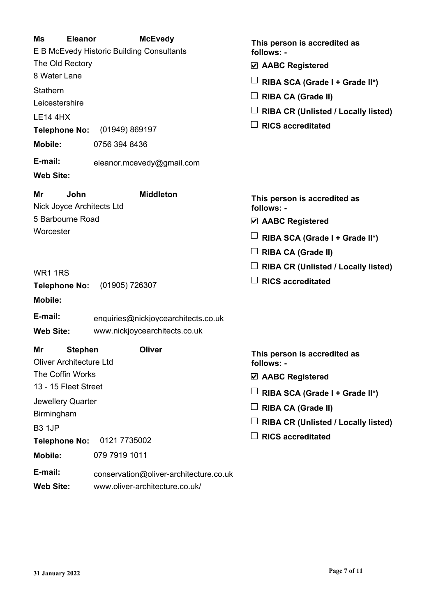| Ms<br><b>Eleanor</b><br>The Old Rectory<br>8 Water Lane<br>Stathern<br>Leicestershire<br><b>LE14 4HX</b><br><b>Telephone No:</b><br><b>Mobile:</b><br>E-mail:<br><b>Web Site:</b>                                               | <b>McEvedy</b><br>E B McEvedy Historic Building Consultants<br>(01949) 869197<br>0756 394 8436<br>eleanor.mcevedy@gmail.com | This person is accredited as<br>follows: -<br>☑ AABC Registered<br>RIBA SCA (Grade I + Grade II*)<br><b>RIBA CA (Grade II)</b><br><b>RIBA CR (Unlisted / Locally listed)</b><br><b>RICS accreditated</b>               |
|---------------------------------------------------------------------------------------------------------------------------------------------------------------------------------------------------------------------------------|-----------------------------------------------------------------------------------------------------------------------------|------------------------------------------------------------------------------------------------------------------------------------------------------------------------------------------------------------------------|
| John<br>Mr<br>Nick Joyce Architects Ltd<br>5 Barbourne Road<br>Worcester<br><b>WR1 1RS</b><br><b>Telephone No:</b><br><b>Mobile:</b><br>E-mail:                                                                                 | <b>Middleton</b><br>(01905) 726307<br>enquiries@nickjoycearchitects.co.uk                                                   | This person is accredited as<br>follows: -<br>$\triangledown$ AABC Registered<br>RIBA SCA (Grade I + Grade II*)<br><b>RIBA CA (Grade II)</b><br><b>RIBA CR (Unlisted / Locally listed)</b><br><b>RICS accreditated</b> |
| <b>Web Site:</b><br><b>Stephen</b><br>Mr<br><b>Oliver Architecture Ltd</b><br>The Coffin Works<br>13 - 15 Fleet Street<br>Jewellery Quarter<br>Birmingham<br><b>B3 1JP</b><br><b>Telephone No:</b><br><b>Mobile:</b><br>E-mail: | www.nickjoycearchitects.co.uk<br>Oliver<br>0121 7735002<br>079 7919 1011<br>conservation@oliver-architecture.co.uk          | This person is accredited as<br>follows: -<br>☑ AABC Registered<br>RIBA SCA (Grade I + Grade II*)<br><b>RIBA CA (Grade II)</b><br><b>RIBA CR (Unlisted / Locally listed)</b><br><b>RICS accreditated</b>               |

**Web Site:** www.oliver-architecture.co.uk/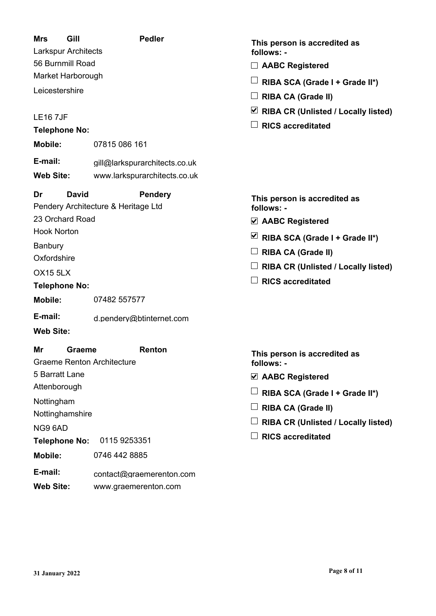| Gill<br><b>Mrs</b><br>Larkspur Architects         | <b>Pedler</b>                                         | This person is accredited as<br>follows: -           |
|---------------------------------------------------|-------------------------------------------------------|------------------------------------------------------|
| 56 Burnmill Road                                  |                                                       | <b>AABC Registered</b>                               |
| Market Harborough                                 |                                                       | RIBA SCA (Grade I + Grade II*)                       |
| Leicestershire                                    |                                                       | <b>RIBA CA (Grade II)</b>                            |
|                                                   |                                                       | $\triangleright$ RIBA CR (Unlisted / Locally listed) |
| <b>LE167JF</b><br><b>Telephone No:</b>            |                                                       | <b>RICS</b> accreditated                             |
| <b>Mobile:</b>                                    | 07815 086 161                                         |                                                      |
| E-mail:                                           | gill@larkspurarchitects.co.uk                         |                                                      |
| <b>Web Site:</b>                                  | www.larkspurarchitects.co.uk                          |                                                      |
| <b>David</b><br>Dr                                | <b>Pendery</b><br>Pendery Architecture & Heritage Ltd | This person is accredited as<br>follows: -           |
| 23 Orchard Road                                   |                                                       | $\vee$ AABC Registered                               |
| <b>Hook Norton</b>                                |                                                       | ⊻<br>RIBA SCA (Grade I + Grade II*)                  |
| Banbury                                           |                                                       | <b>RIBA CA (Grade II)</b>                            |
| Oxfordshire                                       |                                                       | <b>RIBA CR (Unlisted / Locally listed)</b>           |
| <b>OX15 5LX</b>                                   |                                                       | <b>RICS accreditated</b>                             |
| <b>Telephone No:</b><br><b>Mobile:</b>            | 07482 557577                                          |                                                      |
| E-mail:                                           | d.pendery@btinternet.com                              |                                                      |
| <b>Web Site:</b>                                  |                                                       |                                                      |
| Mr<br>Graeme<br><b>Graeme Renton Architecture</b> | <b>Renton</b>                                         | This person is accredited as<br>follows: -           |
| 5 Barratt Lane                                    |                                                       | $\triangledown$ AABC Registered                      |
| Attenborough                                      |                                                       | RIBA SCA (Grade I + Grade II*)                       |
| Nottingham                                        |                                                       | <b>RIBA CA (Grade II)</b>                            |
| Nottinghamshire                                   |                                                       | <b>RIBA CR (Unlisted / Locally listed)</b>           |
| NG9 6AD<br><b>Telephone No:</b>                   | 0115 9253351                                          | <b>RICS accreditated</b>                             |
| <b>Mobile:</b>                                    | 0746 442 8885                                         |                                                      |

**E-mail:** contact@graemerenton.com

**Web Site:** www.graemerenton.com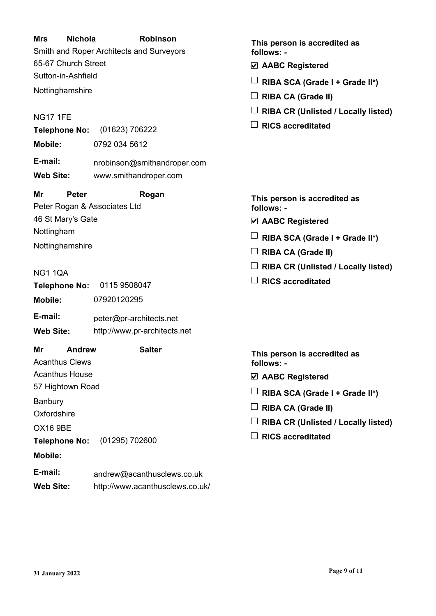### **Mrs Nichola Robinson** Smith and Roper Architects and Surveyors 65-67 Church Street Sutton-in-Ashfield Nottinghamshire NG17 1FE **This person is accredited as follows: - Telephone No:** (01623) 706222 **E-mail:** nrobinson@smithandroper.com **Mobile:** 0792 034 5612 **Web Site:** www.smithandroper.com **AABC Registered RIBA SCA (Grade I + Grade II\*) RIBA CA (Grade II) RIBA CR (Unlisted / Locally listed) RICS accreditated Mr Peter Rogan** Peter Rogan & Associates Ltd 46 St Mary's Gate Nottingham Nottinghamshire NG1 1QA **This person is accredited as follows: - Telephone No:** 0115 9508047 **E-mail:** peter@pr-architects.net **Mobile:** 07920120295 **Web Site:** http://www.pr-architects.net **AABC Registered RIBA SCA (Grade I + Grade II\*) RIBA CA (Grade II) RIBA CR (Unlisted / Locally listed) RICS accreditated Mr Andrew Salter** Acanthus Clews Acanthus House 57 Hightown Road **Banbury Oxfordshire** OX16 9BE **This person is accredited as follows: - Telephone No:** (01295) 702600 **Mobile: AABC Registered RIBA SCA (Grade I + Grade II\*) RIBA CA (Grade II) RIBA CR (Unlisted / Locally listed) RICS accreditated**

**E-mail:** andrew@acanthusclews.co.uk

**Web Site:** http://www.acanthusclews.co.uk/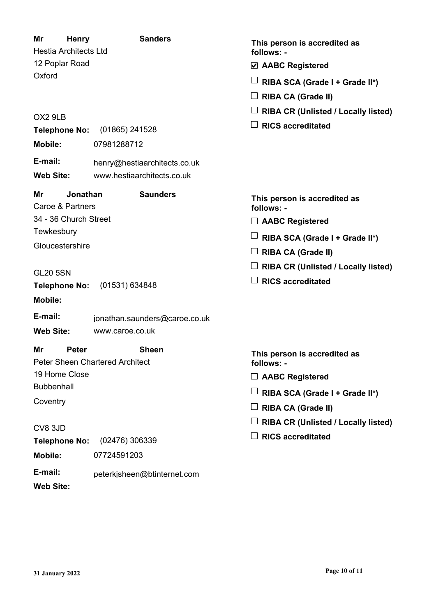| Mr<br><b>Henry</b><br><b>Hestia Architects Ltd</b> | <b>Sanders</b>                                             | This person is accredited as<br>follows: - |
|----------------------------------------------------|------------------------------------------------------------|--------------------------------------------|
| 12 Poplar Road                                     |                                                            | ☑ AABC Registered                          |
| Oxford                                             |                                                            | RIBA SCA (Grade I + Grade II*)             |
|                                                    |                                                            | <b>RIBA CA (Grade II)</b>                  |
| OX2 9LB                                            |                                                            | <b>RIBA CR (Unlisted / Locally listed)</b> |
| Telephone No:                                      | $(01865)$ 241528                                           | <b>RICS accreditated</b>                   |
| <b>Mobile:</b>                                     | 07981288712                                                |                                            |
| E-mail:                                            |                                                            |                                            |
| <b>Web Site:</b>                                   | henry@hestiaarchitects.co.uk<br>www.hestiaarchitects.co.uk |                                            |
|                                                    |                                                            |                                            |
| Mr<br>Jonathan<br>Caroe & Partners                 | <b>Saunders</b>                                            | This person is accredited as<br>follows: - |
| 34 - 36 Church Street                              |                                                            | <b>AABC Registered</b>                     |
| Tewkesbury                                         |                                                            | RIBA SCA (Grade I + Grade II*)             |
| Gloucestershire                                    |                                                            | <b>RIBA CA (Grade II)</b>                  |
|                                                    |                                                            | <b>RIBA CR (Unlisted / Locally listed)</b> |
| <b>GL20 5SN</b><br>Telephone No:                   | (01531) 634848                                             | <b>RICS accreditated</b>                   |
| <b>Mobile:</b>                                     |                                                            |                                            |
|                                                    |                                                            |                                            |
| E-mail:<br><b>Web Site:</b>                        | jonathan.saunders@caroe.co.uk<br>www.caroe.co.uk           |                                            |
| Mr<br><b>Peter</b>                                 | <b>Sheen</b>                                               | This person is accredited as               |
| 19 Home Close                                      | <b>Peter Sheen Chartered Architect</b>                     | follows: -                                 |
| <b>Bubbenhall</b>                                  |                                                            | <b>AABC Registered</b>                     |
| Coventry                                           |                                                            | RIBA SCA (Grade I + Grade II*)             |
|                                                    |                                                            | <b>RIBA CA (Grade II)</b>                  |
| CV8 3JD                                            |                                                            | <b>RIBA CR (Unlisted / Locally listed)</b> |
| <b>Telephone No:</b>                               | (02476) 306339                                             | <b>RICS accreditated</b>                   |
| Mobile:                                            | 07724591203                                                |                                            |
| E-mail:                                            | peterkjsheen@btinternet.com                                |                                            |

**Web Site:**